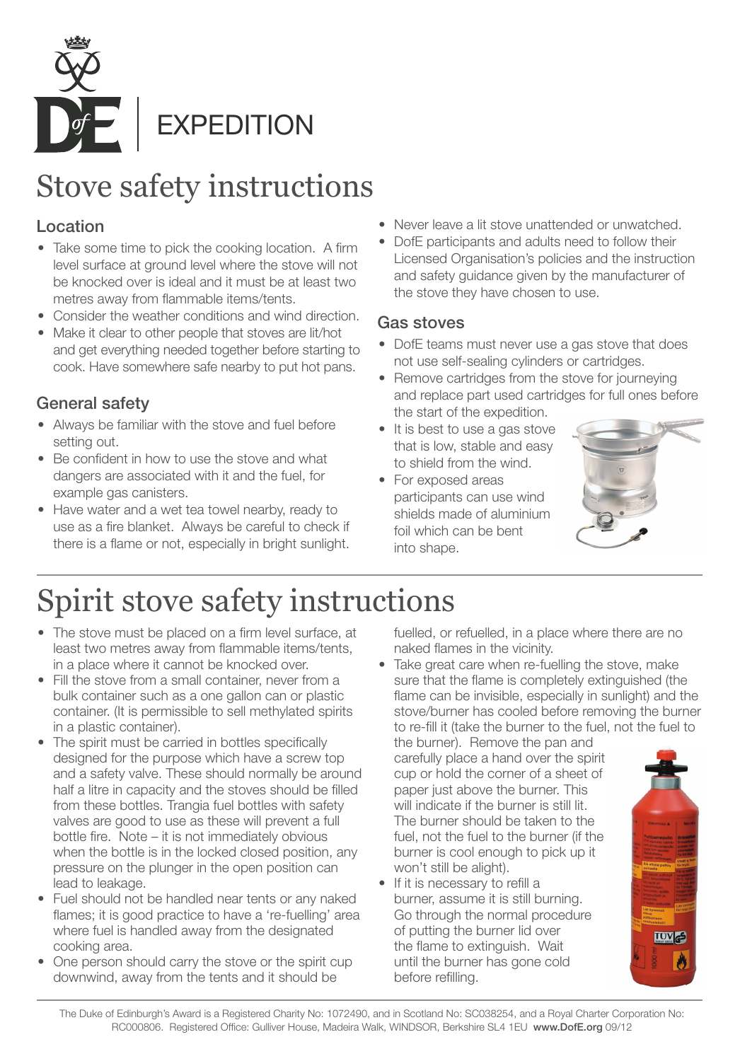

## Stove safety instructions

### Location

- Take some time to pick the cooking location. A firm level surface at ground level where the stove will not be knocked over is ideal and it must be at least two metres away from flammable items/tents.
- Consider the weather conditions and wind direction.
- Make it clear to other people that stoves are lit/hot and get everything needed together before starting to cook. Have somewhere safe nearby to put hot pans.

### General safety

- Always be familiar with the stove and fuel before setting out.
- Be confident in how to use the stove and what dangers are associated with it and the fuel, for example gas canisters.
- Have water and a wet tea towel nearby, ready to use as a fire blanket. Always be careful to check if there is a flame or not, especially in bright sunlight.
- Never leave a lit stove unattended or unwatched.
- DofE participants and adults need to follow their Licensed Organisation's policies and the instruction and safety guidance given by the manufacturer of the stove they have chosen to use.

#### Gas stoves

- DofE teams must never use a gas stove that does not use self-sealing cylinders or cartridges.
- Remove cartridges from the stove for journeying and replace part used cartridges for full ones before the start of the expedition.
- It is best to use a gas stove that is low, stable and easy to shield from the wind.
- For exposed areas participants can use wind shields made of aluminium foil which can be bent into shape.



# Spirit stove safety instructions

- The stove must be placed on a firm level surface, at least two metres away from flammable items/tents, in a place where it cannot be knocked over.
- Fill the stove from a small container, never from a bulk container such as a one gallon can or plastic container. (It is permissible to sell methylated spirits in a plastic container).
- The spirit must be carried in bottles specifically designed for the purpose which have a screw top and a safety valve. These should normally be around half a litre in capacity and the stoves should be filled from these bottles. Trangia fuel bottles with safety valves are good to use as these will prevent a full bottle fire. Note – it is not immediately obvious when the bottle is in the locked closed position, any pressure on the plunger in the open position can lead to leakage.
- Fuel should not be handled near tents or any naked flames; it is good practice to have a 're-fuelling' area where fuel is handled away from the designated cooking area.
- One person should carry the stove or the spirit cup downwind, away from the tents and it should be

fuelled, or refuelled, in a place where there are no naked flames in the vicinity.

• Take great care when re-fuelling the stove, make sure that the flame is completely extinguished (the flame can be invisible, especially in sunlight) and the stove/burner has cooled before removing the burner to re-fill it (take the burner to the fuel, not the fuel to

the burner). Remove the pan and carefully place a hand over the spirit cup or hold the corner of a sheet of paper just above the burner. This will indicate if the burner is still lit. The burner should be taken to the fuel, not the fuel to the burner (if the burner is cool enough to pick up it won't still be alight).

• If it is necessary to refill a burner, assume it is still burning. Go through the normal procedure of putting the burner lid over the flame to extinguish. Wait until the burner has gone cold before refilling.



The Duke of Edinburgh's Award is a Registered Charity No: 1072490, and in Scotland No: SC038254, and a Royal Charter Corporation No: RC000806. Registered Office: Gulliver House, Madeira Walk, WINDSOR, Berkshire SL4 1EU www.DofE.org 09/12